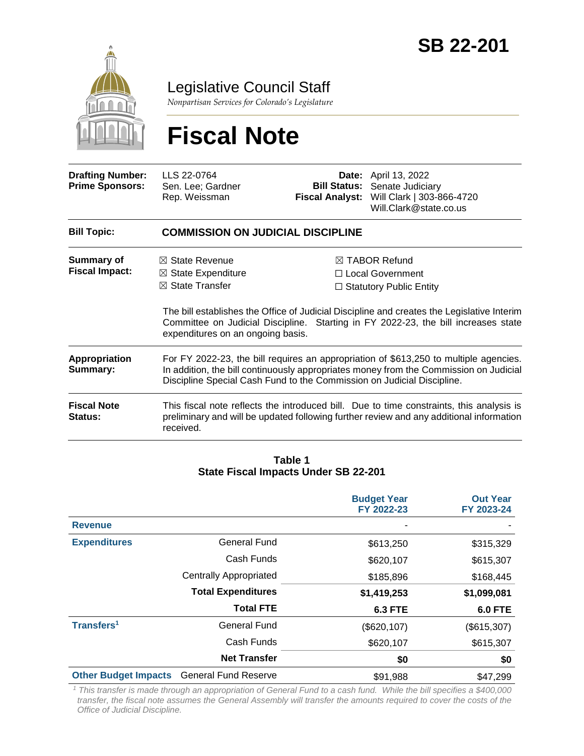

Legislative Council Staff

*Nonpartisan Services for Colorado's Legislature*

# **Fiscal Note**

| <b>Drafting Number:</b><br><b>Prime Sponsors:</b> | LLS 22-0764<br>Sen. Lee; Gardner<br>Rep. Weissman                                                                                                                                                                                                        | <b>Fiscal Analyst:</b> | <b>Date:</b> April 13, 2022<br><b>Bill Status:</b> Senate Judiciary<br>Will Clark   303-866-4720<br>Will.Clark@state.co.us                                                                                                                                           |  |  |
|---------------------------------------------------|----------------------------------------------------------------------------------------------------------------------------------------------------------------------------------------------------------------------------------------------------------|------------------------|----------------------------------------------------------------------------------------------------------------------------------------------------------------------------------------------------------------------------------------------------------------------|--|--|
| <b>Bill Topic:</b>                                | <b>COMMISSION ON JUDICIAL DISCIPLINE</b>                                                                                                                                                                                                                 |                        |                                                                                                                                                                                                                                                                      |  |  |
| <b>Summary of</b><br><b>Fiscal Impact:</b>        | State Revenue<br>$\bowtie$<br>$\boxtimes$ State Expenditure<br>$\boxtimes$ State Transfer<br>expenditures on an ongoing basis.                                                                                                                           |                        | $\boxtimes$ TABOR Refund<br>□ Local Government<br>$\Box$ Statutory Public Entity<br>The bill establishes the Office of Judicial Discipline and creates the Legislative Interim<br>Committee on Judicial Discipline. Starting in FY 2022-23, the bill increases state |  |  |
| Appropriation<br>Summary:                         | For FY 2022-23, the bill requires an appropriation of \$613,250 to multiple agencies.<br>In addition, the bill continuously appropriates money from the Commission on Judicial<br>Discipline Special Cash Fund to the Commission on Judicial Discipline. |                        |                                                                                                                                                                                                                                                                      |  |  |
| <b>Fiscal Note</b><br>Status:                     | This fiscal note reflects the introduced bill. Due to time constraints, this analysis is<br>preliminary and will be updated following further review and any additional information<br>received.                                                         |                        |                                                                                                                                                                                                                                                                      |  |  |

#### **Table 1 State Fiscal Impacts Under SB 22-201**

|                             |                               | <b>Budget Year</b><br>FY 2022-23 | <b>Out Year</b><br>FY 2023-24 |
|-----------------------------|-------------------------------|----------------------------------|-------------------------------|
| <b>Revenue</b>              |                               |                                  |                               |
| <b>Expenditures</b>         | <b>General Fund</b>           | \$613,250                        | \$315,329                     |
|                             | Cash Funds                    | \$620,107                        | \$615,307                     |
|                             | <b>Centrally Appropriated</b> | \$185,896                        | \$168,445                     |
|                             | <b>Total Expenditures</b>     | \$1,419,253                      | \$1,099,081                   |
|                             | <b>Total FTE</b>              | <b>6.3 FTE</b>                   | <b>6.0 FTE</b>                |
| Transfers <sup>1</sup>      | <b>General Fund</b>           | (\$620, 107)                     | (\$615,307)                   |
|                             | Cash Funds                    | \$620,107                        | \$615,307                     |
|                             | <b>Net Transfer</b>           | \$0                              | \$0                           |
| <b>Other Budget Impacts</b> | <b>General Fund Reserve</b>   | \$91,988                         | \$47,299                      |

*<sup>1</sup> This transfer is made through an appropriation of General Fund to a cash fund. While the bill specifies a \$400,000 transfer, the fiscal note assumes the General Assembly will transfer the amounts required to cover the costs of the Office of Judicial Discipline.*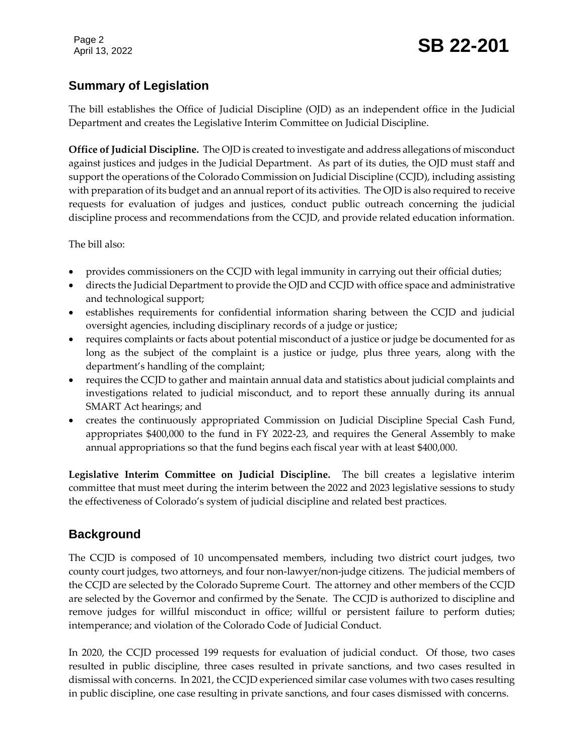## **Summary of Legislation**

The bill establishes the Office of Judicial Discipline (OJD) as an independent office in the Judicial Department and creates the Legislative Interim Committee on Judicial Discipline.

**Office of Judicial Discipline.** The OJD is created to investigate and address allegations of misconduct against justices and judges in the Judicial Department. As part of its duties, the OJD must staff and support the operations of the Colorado Commission on Judicial Discipline (CCJD), including assisting with preparation of its budget and an annual report of its activities. The OJD is also required to receive requests for evaluation of judges and justices, conduct public outreach concerning the judicial discipline process and recommendations from the CCJD, and provide related education information.

The bill also:

- provides commissioners on the CCJD with legal immunity in carrying out their official duties;
- directs the Judicial Department to provide the OJD and CCJD with office space and administrative and technological support;
- establishes requirements for confidential information sharing between the CCJD and judicial oversight agencies, including disciplinary records of a judge or justice;
- requires complaints or facts about potential misconduct of a justice or judge be documented for as long as the subject of the complaint is a justice or judge, plus three years, along with the department's handling of the complaint;
- requires the CCJD to gather and maintain annual data and statistics about judicial complaints and investigations related to judicial misconduct, and to report these annually during its annual SMART Act hearings; and
- creates the continuously appropriated Commission on Judicial Discipline Special Cash Fund, appropriates \$400,000 to the fund in FY 2022-23, and requires the General Assembly to make annual appropriations so that the fund begins each fiscal year with at least \$400,000.

**Legislative Interim Committee on Judicial Discipline.** The bill creates a legislative interim committee that must meet during the interim between the 2022 and 2023 legislative sessions to study the effectiveness of Colorado's system of judicial discipline and related best practices.

## **Background**

The CCJD is composed of 10 uncompensated members, including two district court judges, two county court judges, two attorneys, and four non-lawyer/non-judge citizens. The judicial members of the CCJD are selected by the Colorado Supreme Court. The attorney and other members of the CCJD are selected by the Governor and confirmed by the Senate. The CCJD is authorized to discipline and remove judges for willful misconduct in office; willful or persistent failure to perform duties; intemperance; and violation of the Colorado Code of Judicial Conduct.

In 2020, the CCJD processed 199 requests for evaluation of judicial conduct. Of those, two cases resulted in public discipline, three cases resulted in private sanctions, and two cases resulted in dismissal with concerns. In 2021, the CCJD experienced similar case volumes with two cases resulting in public discipline, one case resulting in private sanctions, and four cases dismissed with concerns.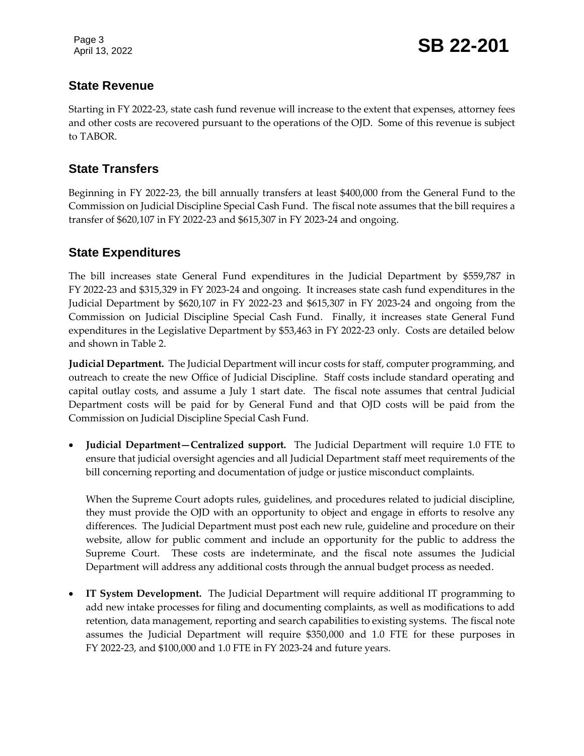Page 3

Page 3<br>April 13, 2022 **SB 22-201** 

#### **State Revenue**

Starting in FY 2022-23, state cash fund revenue will increase to the extent that expenses, attorney fees and other costs are recovered pursuant to the operations of the OJD. Some of this revenue is subject to TABOR.

#### **State Transfers**

Beginning in FY 2022-23, the bill annually transfers at least \$400,000 from the General Fund to the Commission on Judicial Discipline Special Cash Fund. The fiscal note assumes that the bill requires a transfer of \$620,107 in FY 2022-23 and \$615,307 in FY 2023-24 and ongoing.

#### **State Expenditures**

The bill increases state General Fund expenditures in the Judicial Department by \$559,787 in FY 2022-23 and \$315,329 in FY 2023-24 and ongoing. It increases state cash fund expenditures in the Judicial Department by \$620,107 in FY 2022-23 and \$615,307 in FY 2023-24 and ongoing from the Commission on Judicial Discipline Special Cash Fund. Finally, it increases state General Fund expenditures in the Legislative Department by \$53,463 in FY 2022-23 only. Costs are detailed below and shown in Table 2.

**Judicial Department.** The Judicial Department will incur costs for staff, computer programming, and outreach to create the new Office of Judicial Discipline. Staff costs include standard operating and capital outlay costs, and assume a July 1 start date. The fiscal note assumes that central Judicial Department costs will be paid for by General Fund and that OJD costs will be paid from the Commission on Judicial Discipline Special Cash Fund.

 **Judicial Department—Centralized support.** The Judicial Department will require 1.0 FTE to ensure that judicial oversight agencies and all Judicial Department staff meet requirements of the bill concerning reporting and documentation of judge or justice misconduct complaints.

When the Supreme Court adopts rules, guidelines, and procedures related to judicial discipline, they must provide the OJD with an opportunity to object and engage in efforts to resolve any differences. The Judicial Department must post each new rule, guideline and procedure on their website, allow for public comment and include an opportunity for the public to address the Supreme Court. These costs are indeterminate, and the fiscal note assumes the Judicial Department will address any additional costs through the annual budget process as needed.

 **IT System Development.** The Judicial Department will require additional IT programming to add new intake processes for filing and documenting complaints, as well as modifications to add retention, data management, reporting and search capabilities to existing systems. The fiscal note assumes the Judicial Department will require \$350,000 and 1.0 FTE for these purposes in FY 2022-23, and \$100,000 and 1.0 FTE in FY 2023-24 and future years.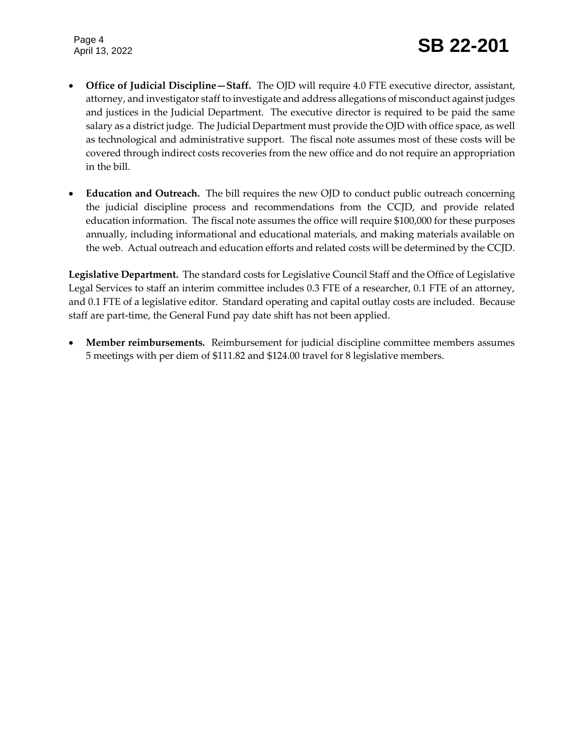Page 4

- **Office of Judicial Discipline—Staff.** The OJD will require 4.0 FTE executive director, assistant, attorney, and investigator staff to investigate and address allegations of misconduct against judges and justices in the Judicial Department. The executive director is required to be paid the same salary as a district judge. The Judicial Department must provide the OJD with office space, as well as technological and administrative support. The fiscal note assumes most of these costs will be covered through indirect costs recoveries from the new office and do not require an appropriation in the bill.
- **Education and Outreach.** The bill requires the new OJD to conduct public outreach concerning the judicial discipline process and recommendations from the CCJD, and provide related education information. The fiscal note assumes the office will require \$100,000 for these purposes annually, including informational and educational materials, and making materials available on the web. Actual outreach and education efforts and related costs will be determined by the CCJD.

**Legislative Department.** The standard costs for Legislative Council Staff and the Office of Legislative Legal Services to staff an interim committee includes 0.3 FTE of a researcher, 0.1 FTE of an attorney, and 0.1 FTE of a legislative editor. Standard operating and capital outlay costs are included. Because staff are part-time, the General Fund pay date shift has not been applied.

 **Member reimbursements.** Reimbursement for judicial discipline committee members assumes 5 meetings with per diem of \$111.82 and \$124.00 travel for 8 legislative members.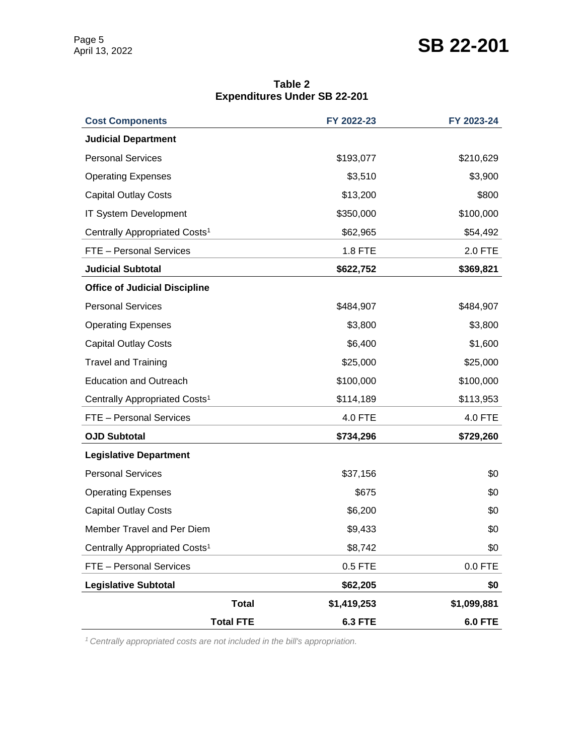# SB 22-201

**Table 2 Expenditures Under SB 22-201**

| <b>Cost Components</b>                    |                  | FY 2022-23     | FY 2023-24     |
|-------------------------------------------|------------------|----------------|----------------|
| <b>Judicial Department</b>                |                  |                |                |
| <b>Personal Services</b>                  |                  | \$193,077      | \$210,629      |
| <b>Operating Expenses</b>                 |                  | \$3,510        | \$3,900        |
| <b>Capital Outlay Costs</b>               |                  | \$13,200       | \$800          |
| IT System Development                     |                  | \$350,000      | \$100,000      |
| Centrally Appropriated Costs <sup>1</sup> |                  | \$62,965       | \$54,492       |
| FTE - Personal Services                   |                  | 1.8 FTE        | 2.0 FTE        |
| <b>Judicial Subtotal</b>                  |                  | \$622,752      | \$369,821      |
| <b>Office of Judicial Discipline</b>      |                  |                |                |
| <b>Personal Services</b>                  |                  | \$484,907      | \$484,907      |
| <b>Operating Expenses</b>                 |                  | \$3,800        | \$3,800        |
| <b>Capital Outlay Costs</b>               |                  | \$6,400        | \$1,600        |
| <b>Travel and Training</b>                |                  | \$25,000       | \$25,000       |
| <b>Education and Outreach</b>             |                  | \$100,000      | \$100,000      |
| Centrally Appropriated Costs <sup>1</sup> |                  | \$114,189      | \$113,953      |
| FTE - Personal Services                   |                  | 4.0 FTE        | 4.0 FTE        |
| <b>OJD Subtotal</b>                       |                  | \$734,296      | \$729,260      |
| <b>Legislative Department</b>             |                  |                |                |
| <b>Personal Services</b>                  |                  | \$37,156       | \$0            |
| <b>Operating Expenses</b>                 |                  | \$675          | \$0            |
| <b>Capital Outlay Costs</b>               |                  | \$6,200        | \$0            |
| Member Travel and Per Diem                |                  | \$9,433        | \$0            |
| Centrally Appropriated Costs <sup>1</sup> |                  | \$8,742        | \$0            |
| FTE - Personal Services                   |                  | $0.5$ FTE      | $0.0$ FTE      |
| <b>Legislative Subtotal</b>               |                  | \$62,205       | \$0            |
|                                           | <b>Total</b>     | \$1,419,253    | \$1,099,881    |
|                                           | <b>Total FTE</b> | <b>6.3 FTE</b> | <b>6.0 FTE</b> |

*1 Centrally appropriated costs are not included in the bill's appropriation.*